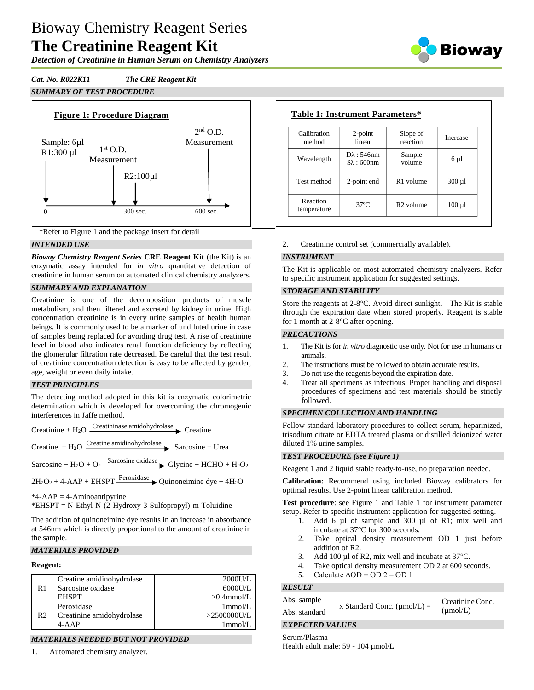# Bioway Chemistry Reagent Series **The Creatinine Reagent Kit**

*Detection of Creatinine in Human Serum on Chemistry Analyzers*







## *INTENDED USE*

*Bioway Chemistry Reagent Series* **CRE Reagent Kit** (the Kit) is an enzymatic assay intended for *in vitro* quantitative detection of creatinine in human serum on automated clinical chemistry analyzers.

## *SUMMARY AND EXPLANATION*

Creatinine is one of the decomposition products of muscle metabolism, and then filtered and excreted by kidney in urine. High concentration creatinine is in every urine samples of health human beings. It is commonly used to be a marker of undiluted urine in case of samples being replaced for avoiding drug test. A rise of creatinine level in blood also indicates renal function deficiency by reflecting the glomerular filtration rate decreased. Be careful that the test result of creatinine concentration detection is easy to be affected by gender, age, weight or even daily intake.

## *TEST PRINCIPLES*

The detecting method adopted in this kit is enzymatic colorimetric determination which is developed for overcoming the chromogenic interferences in Jaffe method.

Creatinine + H<sub>2</sub>O  $\frac{\text{Creating amplitude}}{\text{.} \cdot \text{.}}$ 

Creatine  $+ H<sub>2</sub>O$  Creatine amidinohydrolase Sarcosine + Urea

Sarcosine + H<sub>2</sub>O + O<sub>2</sub> Sarcosine oxidase Glycine + HCHO + H<sub>2</sub>O<sub>2</sub>

 $2H_2O_2 + 4-AAP + EHSPT \xrightarrow{Peroxidase}$  Quinoneimine dye + 4H<sub>2</sub>O

 $*4$ -AAP = 4-Aminoantipyrine

\*EHSPT = N-Ethyl-N-(2-Hydroxy-3-Sulfopropyl)-m-Toluidine

The addition of quinoneimine dye results in an increase in absorbance at 546nm which is directly proportional to the amount of creatinine in the sample.

## *MATERIALS PROVIDED*

## **Reagent:**

| R1 | Creatine amidinohydrolase | $2000$ U/L     |
|----|---------------------------|----------------|
|    | Sarcosine oxidase         | $6000$ U/L     |
|    | <b>EHSPT</b>              | $>0.4$ mmol/L  |
| R2 | Peroxidase                | $1$ mmol/L     |
|    | Creatinine amidohydrolase | $>2500000$ U/L |
|    | $4 - AAP$                 | $1$ mmol/L     |

# *MATERIALS NEEDED BUT NOT PROVIDED*

1. Automated chemistry analyzer.

| Calibration<br>method   | $2$ -point<br>linear                        | Slope of<br>reaction  | Increase    |
|-------------------------|---------------------------------------------|-----------------------|-------------|
| Wavelength              | $D\lambda$ : 546nm<br>$S_{\lambda}$ : 660nm | Sample<br>volume      | 6 µl        |
| Test method             | 2-point end                                 | R <sub>1</sub> volume | $300 \mu l$ |
| Reaction<br>temperature | $37^{\circ}$ C                              | $R2$ volume           | $100 \mu l$ |

2. Creatinine control set (commercially available).

## *INSTRUMENT*

The Kit is applicable on most automated chemistry analyzers. Refer to specific instrument application for suggested settings.

#### *STORAGE AND STABILITY*

Store the reagents at 2-8°C. Avoid direct sunlight. The Kit is stable through the expiration date when stored properly. Reagent is stable for 1 month at 2-8°C after opening.

## *PRECAUTIONS*

- 1. The Kit is for *in vitro* diagnostic use only. Not for use in humans or animals.
- 2. The instructions must be followed to obtain accurate results.
- 3. Do not use the reagents beyond the expiration date.
- 4. Treat all specimens as infectious. Proper handling and disposal procedures of specimens and test materials should be strictly followed.

## *SPECIMEN COLLECTION AND HANDLING*

Follow standard laboratory procedures to collect serum, heparinized, trisodium citrate or EDTA treated plasma or distilled deionized water diluted 1% urine samples.

## *TEST PROCEDURE (see Figure 1)*

Reagent 1 and 2 liquid stable ready-to-use, no preparation needed.

**Calibration:** Recommend using included Bioway calibrators for optimal results. Use 2-point linear calibration method.

**Test procedure**: see Figure 1 and Table 1 for instrument parameter setup. Refer to specific instrument application for suggested setting.

- 1. Add 6 µl of sample and 300 µl of R1; mix well and incubate at 37°C for 300 seconds.
- 2. Take optical density measurement OD 1 just before addition of R2.
- 3. Add 100 µl of R2, mix well and incubate at 37 °C.
- 4. Take optical density measurement OD 2 at 600 seconds.
- 5. Calculate  $\triangle$ OD = OD 2 OD 1

## *RESULT*

| Abs. sample   | x Standard Conc. $(\mu \text{mol/L}) =$ | Creatinine Conc.     |  |
|---------------|-----------------------------------------|----------------------|--|
| Abs. standard |                                         | $(\mu \text{mol/L})$ |  |

## *EXPECTED VALUES*

#### Serum/Plasma

Health adult male: 59 - 104 µmol/L